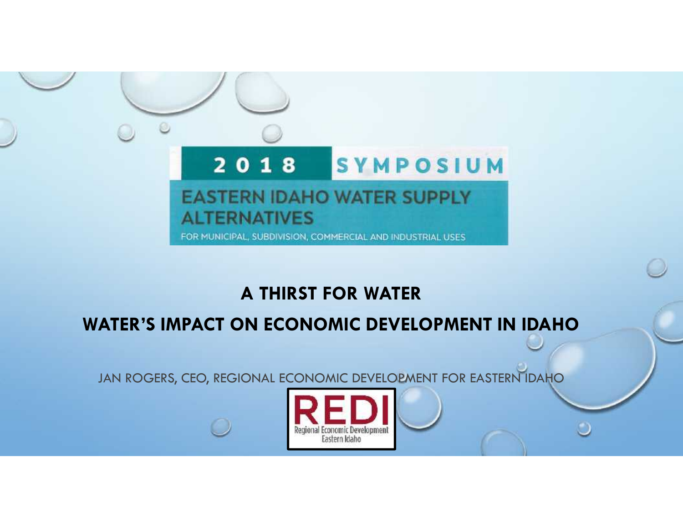#### $2018$ **SYMPOSIUM**

### **EASTERN IDAHO WATER SUPPLY ALTERNATIVES**

FOR MUNICIPAL, SUBDIVISION, COMMERCIAL AND INDUSTRIAL USES

### **A THIRST FOR WATER**

### **WATER'S IMPACT ON ECONOMIC DEVELOPMENT IN IDAHO**

JAN ROGERS, CEO, REGIONAL ECONOMIC DEVELOPMENT FOR EASTERN IDAHO

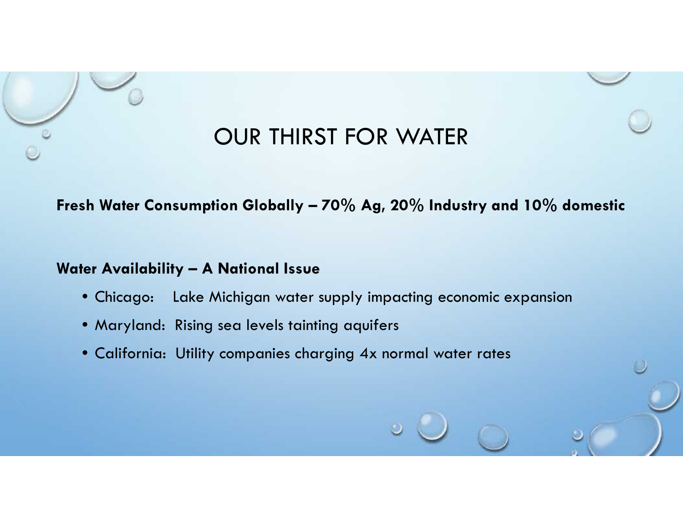

## OUR THIRST FOR WATER

**Fresh Water Consumption Globally – 70% Ag, 20% Industry and 10% domestic**

#### **Water Availability – A National Issue**

- Chicago: Lake Michigan water supply impacting economic expansion
- Maryland: Rising sea levels tainting aquifers
- California: Utility companies charging 4x normal water rates •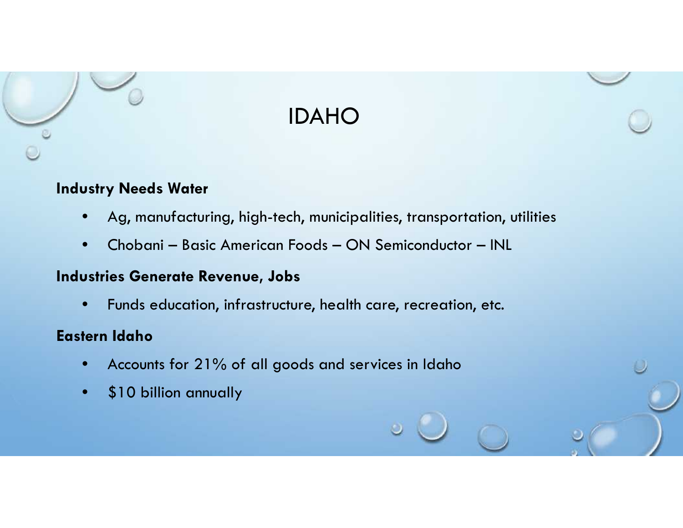# IDAHO

#### **Industry Needs Water**

- Ag, manufacturing, high-tech, municipalities, transportation, utilities
- Chobani Basic American Foods ON Semiconductor INL

#### **Industries Generate Revenue, Jobs**

• Funds education, infrastructure, health care, recreation, etc.

#### **Eastern Idaho**

- Accounts for 21% of all goods and services in Idaho •
- \$10 billion annually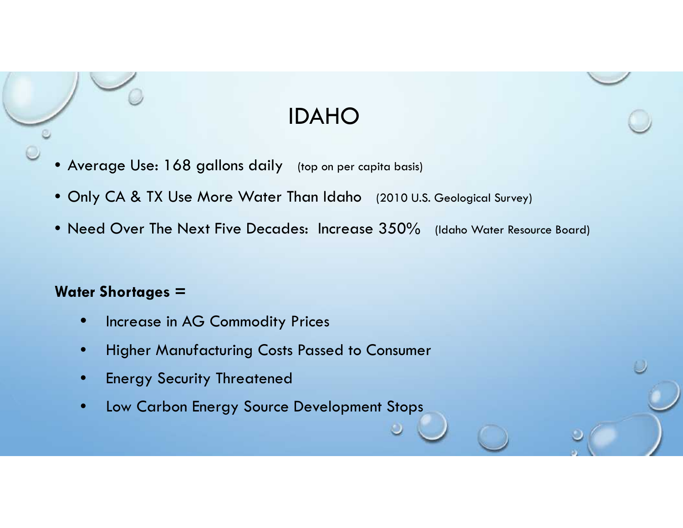## IDAHO

- Average Use: 168 gallons daily (top on per capita basis)
- Only CA & TX Use More Water Than Idaho (2010 U.S. Geological Survey)
- Need Over The Next Five Decades: Increase 350% (Idaho Water Resource Board)

#### **Water Shortages =**

- **•** Increase in AG Commodity Prices
- Higher Manufacturing Costs Passed to Consumer
- **Energy Security Threatened**  $\bullet$
- Low Carbon Energy Source Development Stops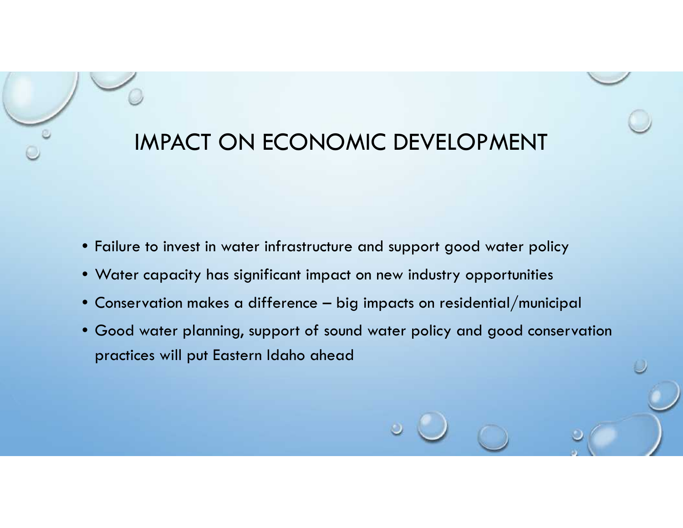# IMPACT ON ECONOMIC DEVELOPMENT

- Failure to invest in water infrastructure and support good water policy Failure to invest in water infrastructure and support good water policy
- Water capacity has significant impact on new industry opportunities
- Conservation makes a difference big impacts on residential/municipal
- Good water planning, support of sound water policy and good conservation •practices will put Eastern Idaho ahead